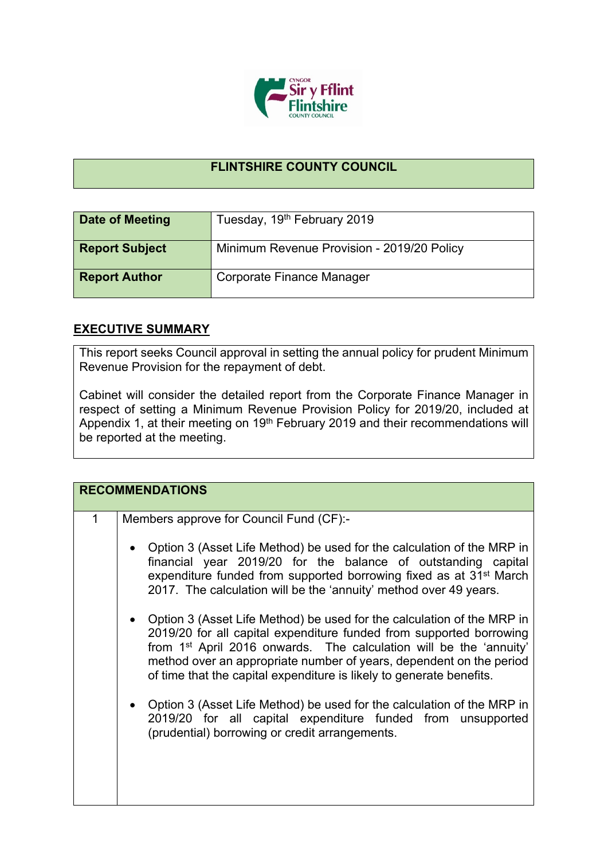

## **FLINTSHIRE COUNTY COUNCIL**

| Date of Meeting       | Tuesday, 19th February 2019                |
|-----------------------|--------------------------------------------|
| <b>Report Subject</b> | Minimum Revenue Provision - 2019/20 Policy |
| <b>Report Author</b>  | Corporate Finance Manager                  |

## **EXECUTIVE SUMMARY**

This report seeks Council approval in setting the annual policy for prudent Minimum Revenue Provision for the repayment of debt.

Cabinet will consider the detailed report from the Corporate Finance Manager in respect of setting a Minimum Revenue Provision Policy for 2019/20, included at Appendix 1, at their meeting on 19<sup>th</sup> February 2019 and their recommendations will be reported at the meeting.

|   | <b>RECOMMENDATIONS</b>                                                                                                                                                                                                                                                                                                                                                                                                                                                                                                                                                                                                                                                                                                                                                                                                                                                                                                   |  |
|---|--------------------------------------------------------------------------------------------------------------------------------------------------------------------------------------------------------------------------------------------------------------------------------------------------------------------------------------------------------------------------------------------------------------------------------------------------------------------------------------------------------------------------------------------------------------------------------------------------------------------------------------------------------------------------------------------------------------------------------------------------------------------------------------------------------------------------------------------------------------------------------------------------------------------------|--|
| 1 | Members approve for Council Fund (CF):-<br>Option 3 (Asset Life Method) be used for the calculation of the MRP in<br>financial year 2019/20 for the balance of outstanding capital<br>expenditure funded from supported borrowing fixed as at 31 <sup>st</sup> March<br>2017. The calculation will be the 'annuity' method over 49 years.<br>• Option 3 (Asset Life Method) be used for the calculation of the MRP in<br>2019/20 for all capital expenditure funded from supported borrowing<br>from 1 <sup>st</sup> April 2016 onwards. The calculation will be the 'annuity'<br>method over an appropriate number of years, dependent on the period<br>of time that the capital expenditure is likely to generate benefits.<br>Option 3 (Asset Life Method) be used for the calculation of the MRP in<br>2019/20 for all capital expenditure funded from unsupported<br>(prudential) borrowing or credit arrangements. |  |
|   |                                                                                                                                                                                                                                                                                                                                                                                                                                                                                                                                                                                                                                                                                                                                                                                                                                                                                                                          |  |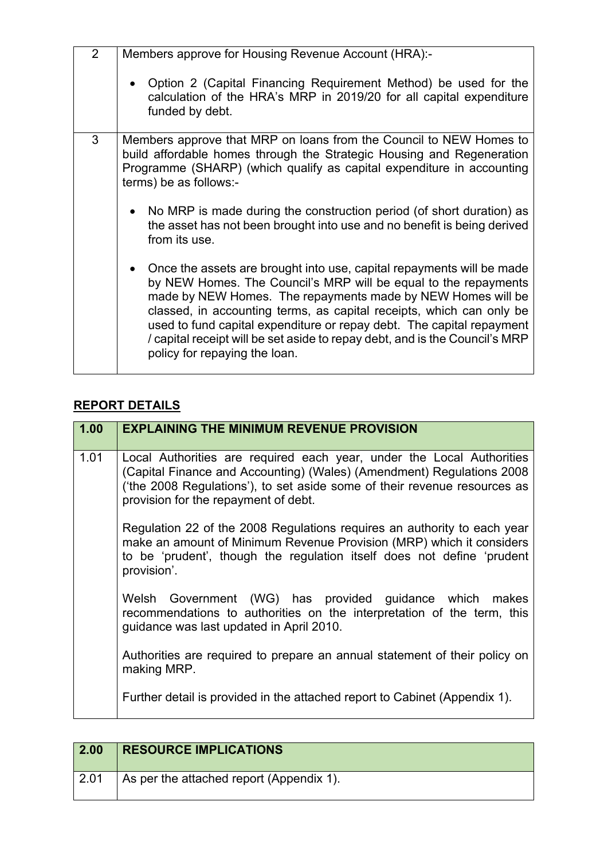| $\overline{2}$ | Members approve for Housing Revenue Account (HRA):-                                                                                                                                                                                                                                                                                                                                                                                                                        |
|----------------|----------------------------------------------------------------------------------------------------------------------------------------------------------------------------------------------------------------------------------------------------------------------------------------------------------------------------------------------------------------------------------------------------------------------------------------------------------------------------|
|                | • Option 2 (Capital Financing Requirement Method) be used for the<br>calculation of the HRA's MRP in 2019/20 for all capital expenditure<br>funded by debt.                                                                                                                                                                                                                                                                                                                |
| 3              | Members approve that MRP on loans from the Council to NEW Homes to<br>build affordable homes through the Strategic Housing and Regeneration<br>Programme (SHARP) (which qualify as capital expenditure in accounting<br>terms) be as follows:-                                                                                                                                                                                                                             |
|                | • No MRP is made during the construction period (of short duration) as<br>the asset has not been brought into use and no benefit is being derived<br>from its use.                                                                                                                                                                                                                                                                                                         |
|                | • Once the assets are brought into use, capital repayments will be made<br>by NEW Homes. The Council's MRP will be equal to the repayments<br>made by NEW Homes. The repayments made by NEW Homes will be<br>classed, in accounting terms, as capital receipts, which can only be<br>used to fund capital expenditure or repay debt. The capital repayment<br>/ capital receipt will be set aside to repay debt, and is the Council's MRP<br>policy for repaying the loan. |

## **REPORT DETAILS**

| 1.00 | <b>EXPLAINING THE MINIMUM REVENUE PROVISION</b>                                                                                                                                                                                                                     |
|------|---------------------------------------------------------------------------------------------------------------------------------------------------------------------------------------------------------------------------------------------------------------------|
| 1.01 | Local Authorities are required each year, under the Local Authorities<br>(Capital Finance and Accounting) (Wales) (Amendment) Regulations 2008<br>('the 2008 Regulations'), to set aside some of their revenue resources as<br>provision for the repayment of debt. |
|      | Regulation 22 of the 2008 Regulations requires an authority to each year<br>make an amount of Minimum Revenue Provision (MRP) which it considers<br>to be 'prudent', though the regulation itself does not define 'prudent<br>provision'.                           |
|      | Welsh Government (WG) has provided guidance which makes<br>recommendations to authorities on the interpretation of the term, this<br>quidance was last updated in April 2010.                                                                                       |
|      | Authorities are required to prepare an annual statement of their policy on<br>making MRP.                                                                                                                                                                           |
|      | Further detail is provided in the attached report to Cabinet (Appendix 1).                                                                                                                                                                                          |

| $\vert$ 2.00 | <b>RESOURCE IMPLICATIONS</b>             |
|--------------|------------------------------------------|
| 2.01         | As per the attached report (Appendix 1). |